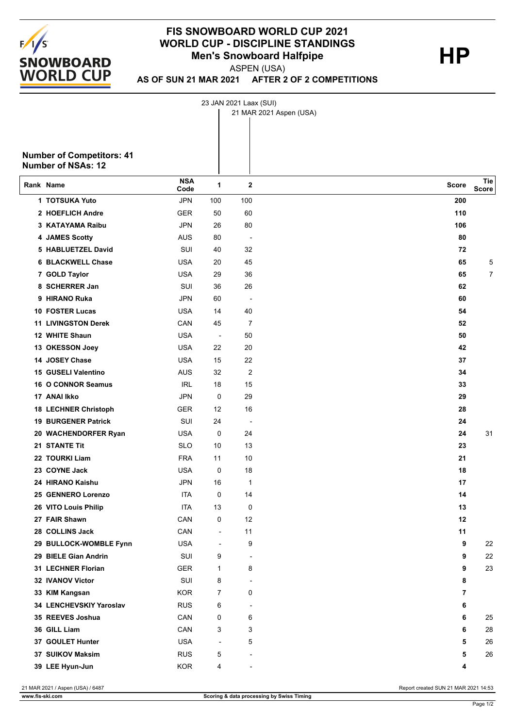

## **FIS SNOWBOARD WORLD CUP 2021 WORLD CUP - DISCIPLINE STANDINGS HP Men's Snowboard Halfpipe**

ASPEN (USA)

**AS OF SUN 21 MAR 2021 AFTER 2 OF 2 COMPETITIONS**

23 JAN 2021 Laax (SUI)

|                                                               |                    |                          |                          | 21 MAR 2021 Aspen (USA) |              |
|---------------------------------------------------------------|--------------------|--------------------------|--------------------------|-------------------------|--------------|
| <b>Number of Competitors: 41</b><br><b>Number of NSAs: 12</b> |                    |                          |                          |                         |              |
| Rank Name                                                     | <b>NSA</b><br>Code | 1                        | $\mathbf 2$              | Score                   | Tie<br>Score |
| 1 TOTSUKA Yuto                                                | <b>JPN</b>         | 100                      | 100                      | 200                     |              |
| 2 HOEFLICH Andre                                              | <b>GER</b>         | 50                       | 60                       | 110                     |              |
| 3 KATAYAMA Raibu                                              | <b>JPN</b>         | 26                       | 80                       | 106                     |              |
| 4 JAMES Scotty                                                | <b>AUS</b>         | 80                       | $\overline{\phantom{a}}$ | 80                      |              |
| 5 HABLUETZEL David                                            | SUI                | 40                       | 32                       | 72                      |              |
| <b>6 BLACKWELL Chase</b>                                      | USA                | 20                       | 45                       | 65                      | 5            |
| 7 GOLD Taylor                                                 | <b>USA</b>         | 29                       | 36                       | 65                      | 7            |
| 8 SCHERRER Jan                                                | SUI                | 36                       | 26                       | 62                      |              |
| 9 HIRANO Ruka                                                 | <b>JPN</b>         | 60                       | $\overline{\phantom{a}}$ | 60                      |              |
| <b>10 FOSTER Lucas</b>                                        | <b>USA</b>         | 14                       | 40                       | 54                      |              |
| <b>11 LIVINGSTON Derek</b>                                    | CAN                | 45                       | $\overline{7}$           | 52                      |              |
| 12 WHITE Shaun                                                | <b>USA</b>         | $\overline{\phantom{a}}$ | 50                       | 50                      |              |
| 13 OKESSON Joey                                               | <b>USA</b>         | 22                       | 20                       | 42                      |              |
| 14 JOSEY Chase                                                | <b>USA</b>         | 15                       | 22                       | 37                      |              |
| 15 GUSELI Valentino                                           | <b>AUS</b>         | 32                       | 2                        | 34                      |              |
| 16 O CONNOR Seamus                                            | <b>IRL</b>         | 18                       | 15                       | 33                      |              |
| 17 ANAI Ikko                                                  | <b>JPN</b>         | $\mathbf 0$              | 29                       | 29                      |              |
| <b>18 LECHNER Christoph</b>                                   | <b>GER</b>         | 12                       | 16                       | 28                      |              |
| <b>19 BURGENER Patrick</b>                                    | SUI                | 24                       | $\overline{\phantom{a}}$ | 24                      |              |
| 20 WACHENDORFER Ryan                                          | USA                | 0                        | 24                       | 24                      | 31           |
| 21 STANTE Tit                                                 | <b>SLO</b>         | 10                       | 13                       | 23                      |              |
| 22 TOURKI Liam                                                | <b>FRA</b>         | 11                       | 10                       | 21                      |              |
| 23 COYNE Jack                                                 | <b>USA</b>         | 0                        | 18                       | 18                      |              |
| 24 HIRANO Kaishu                                              | <b>JPN</b>         | 16                       | 1                        | 17                      |              |
| 25 GENNERO Lorenzo                                            | ITA                | 0                        | 14                       | 14                      |              |
| 26 VITO Louis Philip                                          | <b>ITA</b>         | 13                       | 0                        | 13                      |              |
| 27 FAIR Shawn                                                 | CAN                | 0                        | 12                       | 12                      |              |
| 28 COLLINS Jack                                               | CAN                | $\blacksquare$           | 11                       | 11                      |              |
| 29 BULLOCK-WOMBLE Fynn                                        | <b>USA</b>         | $\overline{\phantom{a}}$ | 9                        | 9                       | 22           |
| 29 BIELE Gian Andrin                                          | SUI                | 9                        | $\overline{\phantom{a}}$ | 9                       | 22           |
| 31 LECHNER Florian                                            | <b>GER</b>         | $\mathbf{1}$             | 8                        | 9                       | 23           |
| 32 IVANOV Victor                                              | SUI                | 8                        | $\overline{\phantom{0}}$ | 8                       |              |
| 33 KIM Kangsan                                                | <b>KOR</b>         | $\overline{7}$           | 0                        | 7                       |              |
| 34 LENCHEVSKIY Yaroslav                                       | <b>RUS</b>         | 6                        | $\overline{\phantom{a}}$ | 6                       |              |
| 35 REEVES Joshua                                              | CAN                | 0                        | 6                        | 6                       | 25           |
| 36 GILL Liam                                                  | CAN                | 3                        | 3                        | 6                       | 28           |
| 37 GOULET Hunter                                              | <b>USA</b>         | $\overline{\phantom{a}}$ | 5                        | 5                       | 26           |
| 37 SUIKOV Maksim                                              | <b>RUS</b>         | 5                        | $\overline{\phantom{a}}$ | 5                       | 26           |
| 39 LEE Hyun-Jun                                               | <b>KOR</b>         | 4                        |                          | 4                       |              |

21 MAR 2021 / Aspen (USA) / 6487 Report created SUN 21 MAR 2021 14:53